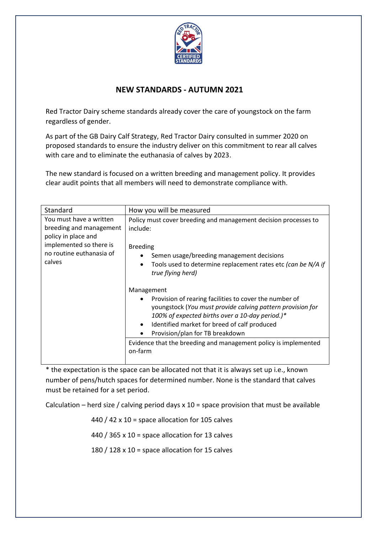

## **NEW STANDARDS - AUTUMN 2021**

Red Tractor Dairy scheme standards already cover the care of youngstock on the farm regardless of gender.

As part of the GB Dairy Calf Strategy, Red Tractor Dairy consulted in summer 2020 on proposed standards to ensure the industry deliver on this commitment to rear all calves with care and to eliminate the euthanasia of calves by 2023.

The new standard is focused on a written breeding and management policy. It provides clear audit points that all members will need to demonstrate compliance with.

| Standard                                                                                                                                   | How you will be measured                                                                                                                                                                                                                                                                                                                               |
|--------------------------------------------------------------------------------------------------------------------------------------------|--------------------------------------------------------------------------------------------------------------------------------------------------------------------------------------------------------------------------------------------------------------------------------------------------------------------------------------------------------|
| You must have a written<br>breeding and management<br>policy in place and<br>implemented so there is<br>no routine euthanasia of<br>calves | Policy must cover breeding and management decision processes to<br>include:<br><b>Breeding</b><br>Semen usage/breeding management decisions<br>Tools used to determine replacement rates etc (can be N/A if<br>$\bullet$<br>true flying herd)                                                                                                          |
|                                                                                                                                            | Management<br>Provision of rearing facilities to cover the number of<br>youngstock (You must provide calving pattern provision for<br>100% of expected births over a 10-day period.)*<br>Identified market for breed of calf produced<br>Provision/plan for TB breakdown<br>Evidence that the breeding and management policy is implemented<br>on-farm |

\* the expectation is the space can be allocated not that it is always set up i.e., known number of pens/hutch spaces for determined number. None is the standard that calves must be retained for a set period.

Calculation – herd size / calving period days  $x$  10 = space provision that must be available

440 / 42  $\times$  10 = space allocation for 105 calves

440 / 365 x 10 = space allocation for 13 calves

180 / 128 x 10 = space allocation for 15 calves